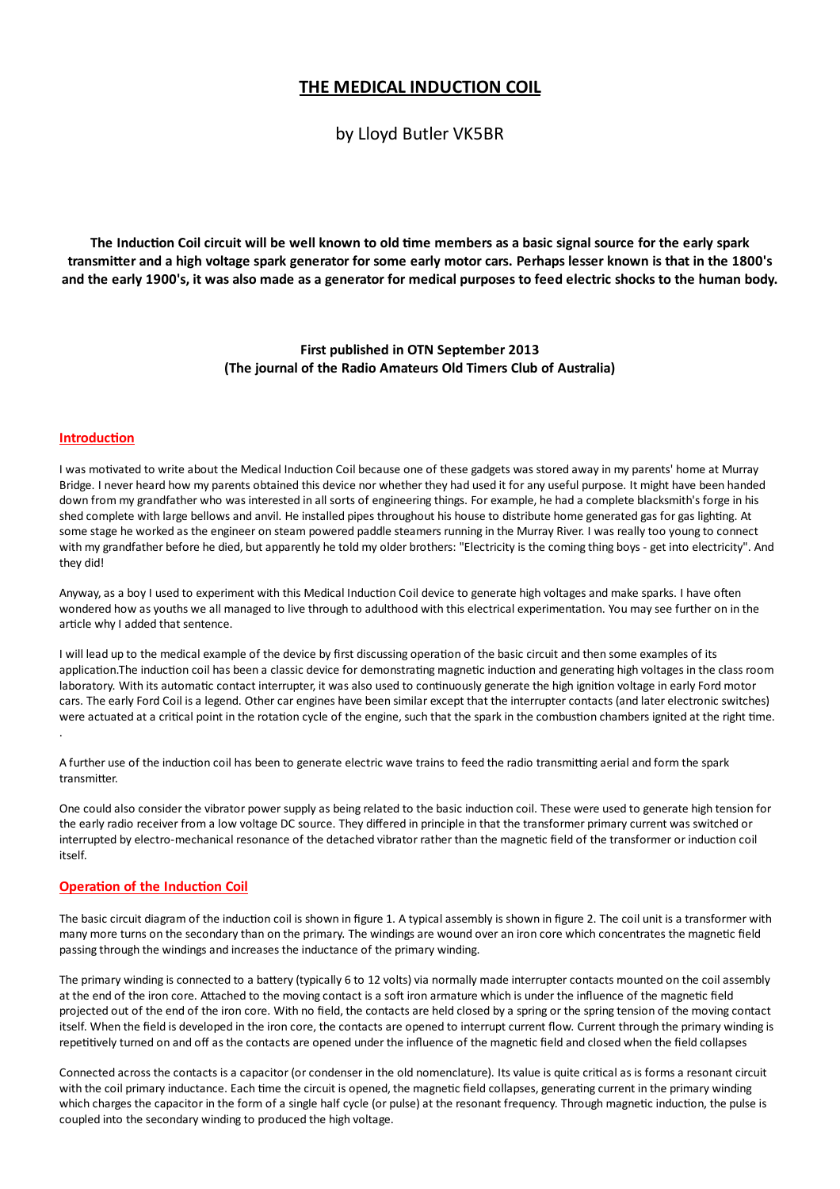# THE MEDICAL INDUCTION COIL

by Lloyd Butler VK5BR

The Induction Coil circuit will be well known to old time members as a basic signal source for the early spark transmitter and a high voltage spark generator for some early motor cars. Perhaps lesser known is that in the 1800's and the early 1900's, it was also made as a generator for medical purposes to feed electric shocks to the human body.

## First published in OTN September 2013 (The journal of the Radio Amateurs Old Timers Club of Australia)

#### **Introduction**

I was motivated to write about the Medical Induction Coil because one of these gadgets was stored away in my parents' home at Murray Bridge. I never heard how my parents obtained this device nor whether they had used it for any useful purpose. It might have been handed down from my grandfather who was interested in all sorts of engineering things. For example, he had a complete blacksmith's forge in his shed complete with large bellows and anvil. He installed pipes throughout his house to distribute home generated gas for gas lighting. At some stage he worked as the engineer on steam powered paddle steamers running in the Murray River. I was really too young to connect with my grandfather before he died, but apparently he told my older brothers: "Electricity is the coming thing boys - get into electricity". And they did!

Anyway, as a boy I used to experiment with this Medical Induction Coil device to generate high voltages and make sparks. I have often wondered how as youths we all managed to live through to adulthood with this electrical experimentation. You may see further on in the article why I added that sentence.

I will lead up to the medical example of the device by first discussing operation of the basic circuit and then some examples of its application. The induction coil has been a classic device for demonstrating magnetic induction and generating high voltages in the class room laboratory. With its automatic contact interrupter, it was also used to continuously generate the high ignition voltage in early Ford motor cars. The early Ford Coil is a legend. Other car engines have been similar except that the interrupter contacts (and later electronic switches) were actuated at a critical point in the rotation cycle of the engine, such that the spark in the combustion chambers ignited at the right time.

A further use of the induction coil has been to generate electric wave trains to feed the radio transmitting aerial and form the spark transmitter.

One could also consider the vibrator power supply as being related to the basic induction coil. These were used to generate high tension for the early radio receiver from a low voltage DC source. They differed in principle in that the transformer primary current was switched or interrupted by electro-mechanical resonance of the detached vibrator rather than the magnetic field of the transformer or induction coil itself.

#### **Operation of the Induction Coil**

The basic circuit diagram of the induction coil is shown in figure 1. A typical assembly is shown in figure 2. The coil unit is a transformer with many more turns on the secondary than on the primary. The windings are wound over an iron core which concentrates the magnetic field passing through the windings and increases the inductance of the primary winding.

The primary winding is connected to a battery (typically 6 to 12 volts) via normally made interrupter contacts mounted on the coil assembly at the end of the iron core. Attached to the moving contact is a soft iron armature which is under the influence of the magnetic field projected out of the end of the iron core. With no field, the contacts are held closed by a spring or the spring tension of the moving contact itself. When the field is developed in the iron core, the contacts are opened to interrupt current flow. Current through the primary winding is repetitively turned on and off as the contacts are opened under the influence of the magnetic field and closed when the field collapses

Connected across the contacts is a capacitor (or condenser in the old nomenclature). Its value is quite critical as is forms a resonant circuit with the coil primary inductance. Each time the circuit is opened, the magnetic field collapses, generating current in the primary winding which charges the capacitor in the form of a single half cycle (or pulse) at the resonant frequency. Through magnetic induction, the pulse is coupled into the secondary winding to produced the high voltage.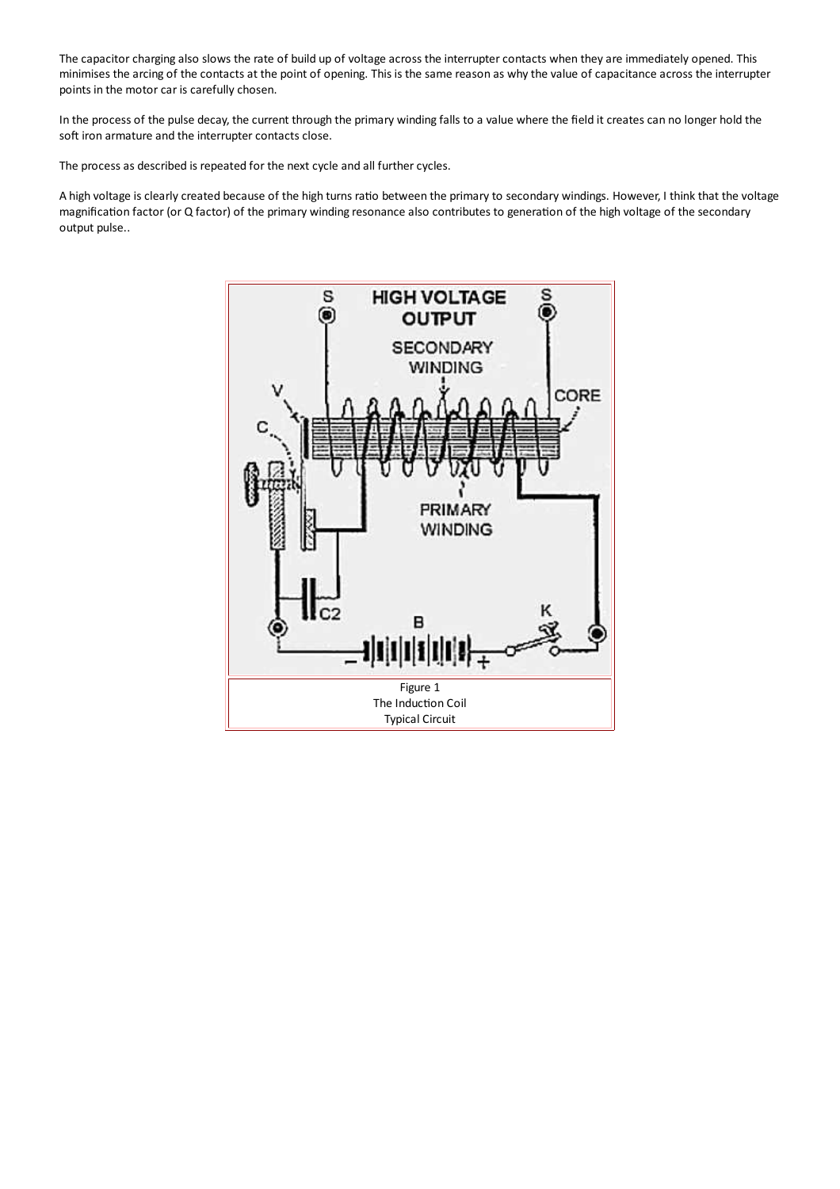The capacitor charging also slows the rate of build up of voltage across the interrupter contacts when they are immediately opened. This minimises the arcing of the contacts at the point of opening. This is the same reason as why the value of capacitance across the interrupter points in the motor car is carefully chosen.

In the process of the pulse decay, the current through the primary winding falls to a value where the field it creates can no longer hold the soft iron armature and the interrupter contacts close.

The process as described is repeated for the next cycle and all further cycles.

A high voltage is clearly created because of the high turns ratio between the primary to secondary windings. However, I think that the voltage magnification factor (or Q factor) of the primary winding resonance also contributes to generation of the high voltage of the secondary output pulse..

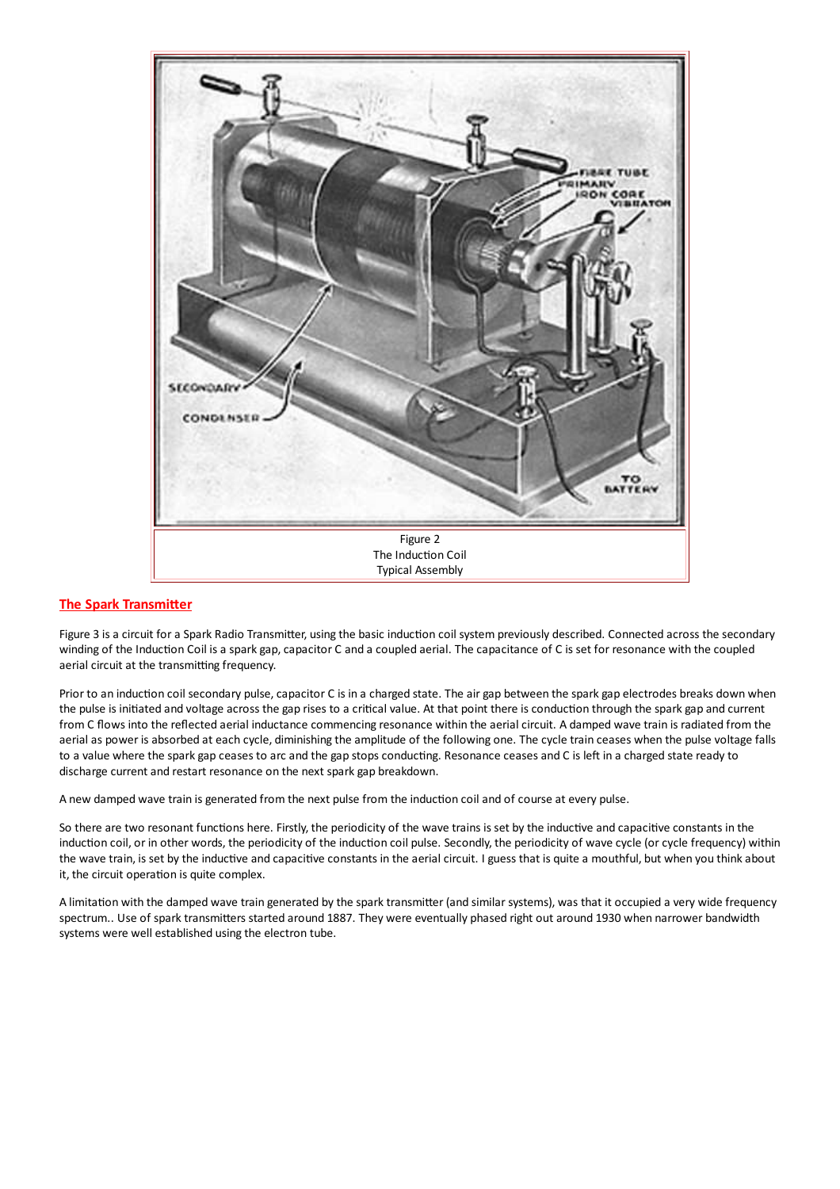

#### **The Spark Transmitter**

Figure 3 is a circuit for a Spark Radio Transmitter, using the basic induction coil system previously described. Connected across the secondary winding of the Induction Coil is a spark gap, capacitor C and a coupled aerial. The capacitance of C is set for resonance with the coupled aerial circuit at the transmitting frequency.

Prior to an induction coil secondary pulse, capacitor C is in a charged state. The air gap between the spark gap electrodes breaks down when the pulse is initiated and voltage across the gap rises to a critical value. At that point there is conduction through the spark gap and current from C flows into the reflected aerial inductance commencing resonance within the aerial circuit. A damped wave train is radiated from the aerial as power is absorbed at each cycle, diminishing the amplitude of the following one. The cycle train ceases when the pulse voltage falls to a value where the spark gap ceases to arc and the gap stops conducting. Resonance ceases and C is left in a charged state ready to discharge current and restart resonance on the next spark gap breakdown.

A new damped wave train is generated from the next pulse from the induction coil and of course at every pulse.

So there are two resonant functions here. Firstly, the periodicity of the wave trains is set by the inductive and capacitive constants in the induction coil, or in other words, the periodicity of the induction coil pulse. Secondly, the periodicity of wave cycle (or cycle frequency) within the wave train, is set by the inductive and capacitive constants in the aerial circuit. I guess that is quite a mouthful, but when you think about it, the circuit operation is quite complex.

A limitation with the damped wave train generated by the spark transmitter (and similar systems), was that it occupied a very wide frequency spectrum.. Use of spark transmitters started around 1887. They were eventually phased right out around 1930 when narrower bandwidth systems were well established using the electron tube.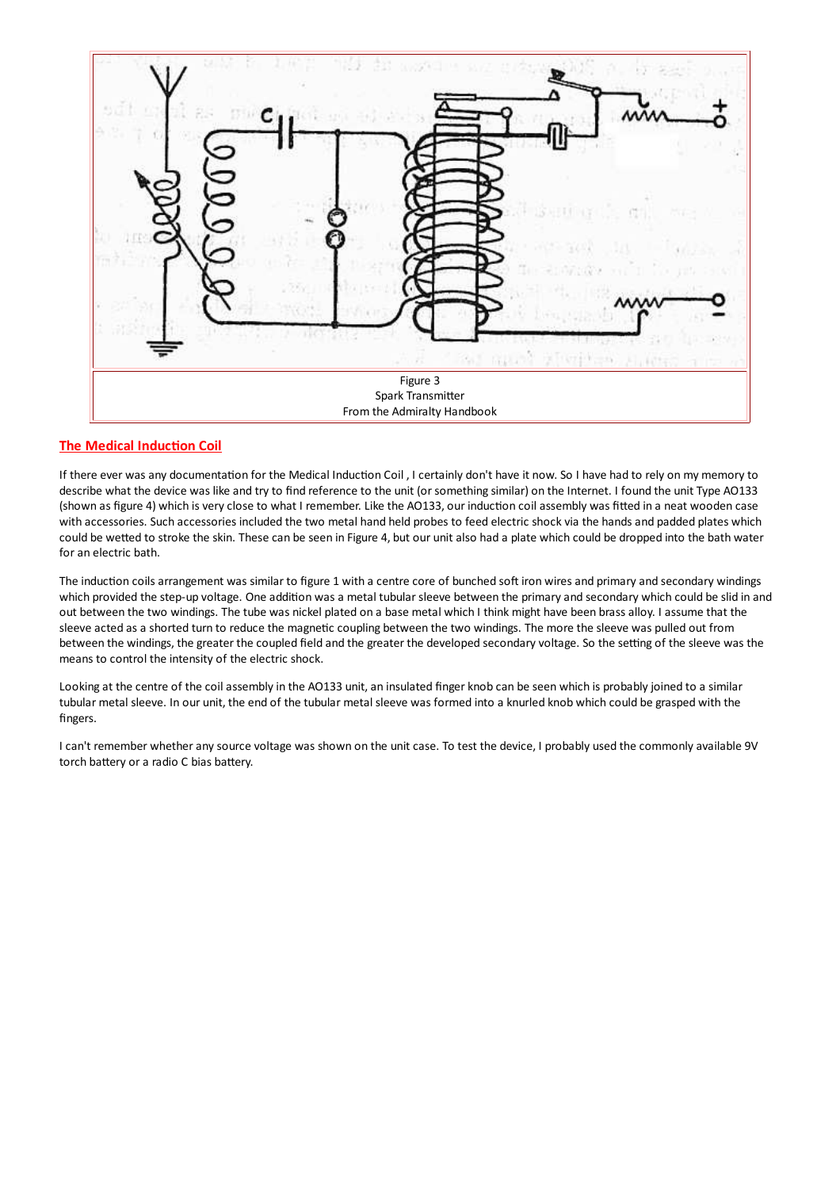

#### **The Medical Induction Coil**

If there ever was any documentation for the Medical Induction Coil, I certainly don't have it now. So I have had to rely on my memory to describe what the device was like and try to find reference to the unit (or something similar) on the Internet. I found the unit Type AO133 (shown as figure 4) which is very close to what I remember. Like the AO133, our induction coil assembly was fitted in a neat wooden case with accessories. Such accessories included the two metal hand held probes to feed electric shock via the hands and padded plates which could be wetted to stroke the skin. These can be seen in Figure 4, but our unit also had a plate which could be dropped into the bath water for an electric bath.

The induction coils arrangement was similar to figure 1 with a centre core of bunched soft iron wires and primary and secondary windings which provided the step-up voltage. One addition was a metal tubular sleeve between the primary and secondary which could be slid in and out between the two windings. The tube was nickel plated on a base metal which I think might have been brass alloy. I assume that the sleeve acted as a shorted turn to reduce the magnetic coupling between the two windings. The more the sleeve was pulled out from between the windings, the greater the coupled field and the greater the developed secondary voltage. So the setting of the sleeve was the means to control the intensity of the electric shock.

Looking at the centre of the coil assembly in the AO133 unit, an insulated finger knob can be seen which is probably joined to a similar tubular metal sleeve. In our unit, the end of the tubular metal sleeve was formed into a knurled knob which could be grasped with the fingers.

I can't remember whether any source voltage was shown on the unit case. To test the device, I probably used the commonly available 9V torch battery or a radio C bias battery.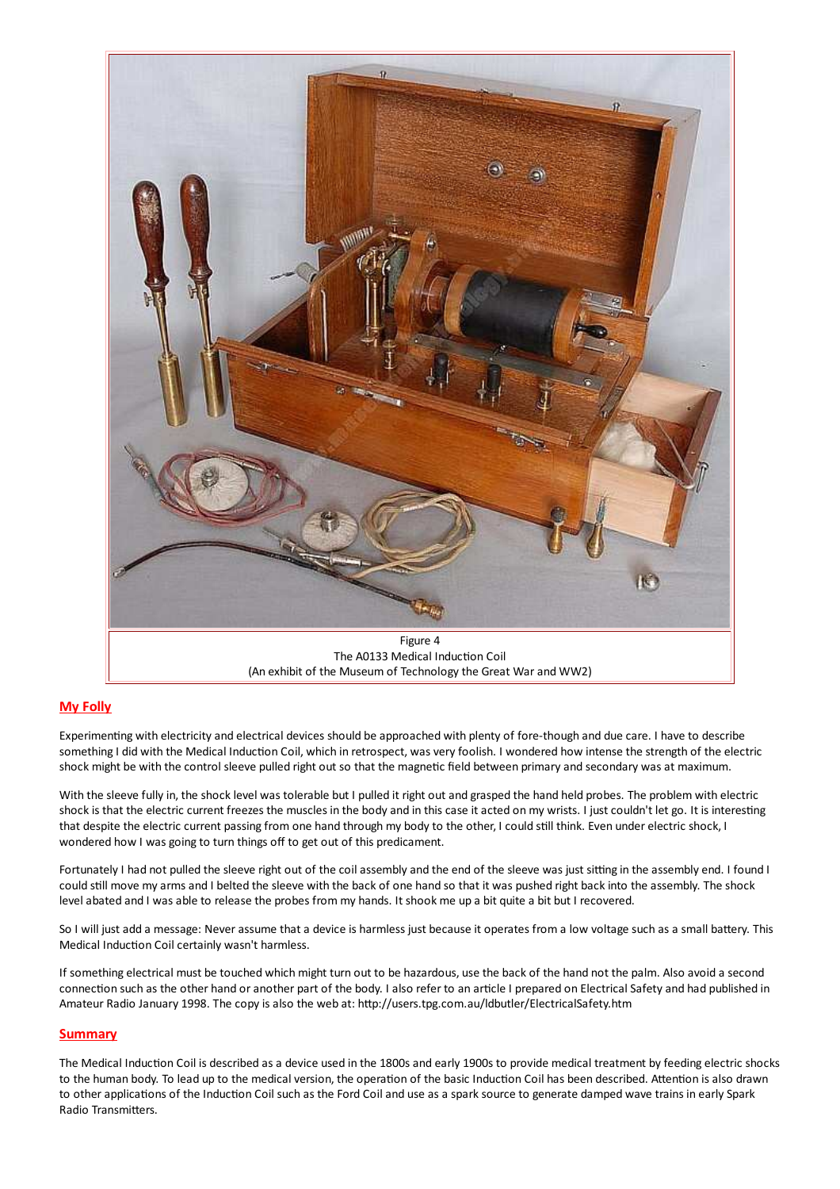

### **My Folly**

Experimenting with electricity and electrical devices should be approached with plenty of fore-though and due care. I have to describe something I did with the Medical Induction Coil, which in retrospect, was very foolish. I wondered how intense the strength of the electric shock might be with the control sleeve pulled right out so that the magnetic field between primary and secondary was at maximum.

With the sleeve fully in, the shock level was tolerable but I pulled it right out and grasped the hand held probes. The problem with electric shock is that the electric current freezes the muscles in the body and in this case it acted on my wrists. I just couldn't let go. It is interesting that despite the electric current passing from one hand through my body to the other, I could still think. Even under electric shock, I wondered how I was going to turn things off to get out of this predicament.

Fortunately I had not pulled the sleeve right out of the coil assembly and the end of the sleeve was just sitting in the assembly end. I found I could still move my arms and I belted the sleeve with the back of one hand so that it was pushed right back into the assembly. The shock level abated and I was able to release the probes from my hands. It shook me up a bit quite a bit but I recovered.

So I will just add a message: Never assume that a device is harmless just because it operates from a low voltage such as a small battery. This Medical Induction Coil certainly wasn't harmless.

If something electrical must be touched which might turn out to be hazardous, use the back of the hand not the palm. Also avoid a second connection such as the other hand or another part of the body. I also refer to an article I prepared on Electrical Safety and had published in Amateur Radio January 1998. The copy is also the web at: http://users.tpg.com.au/ldbutler/ElectricalSafety.htm

#### **Summary**

The Medical Induction Coil is described as a device used in the 1800s and early 1900s to provide medical treatment by feeding electric shocks to the human body. To lead up to the medical version, the operation of the basic Induction Coil has been described. Attention is also drawn to other applications of the Induction Coil such as the Ford Coil and use as a spark source to generate damped wave trains in early Spark Radio Transmitters.